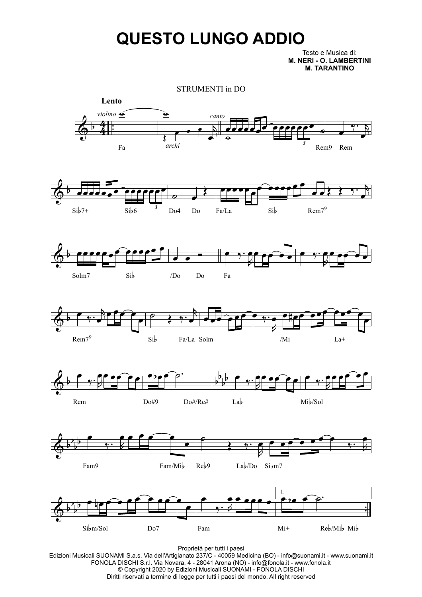## **QUESTO LUNGO ADDIO**

Testo e Musica di: **M. NERI - O. LAMBERTINI M. TARANTINO**



Proprietà per tutti i paesi

Edizioni Musicali SUONAMI S.a.s. Via dell'Artigianato 237/C - 40059 Medicina (BO) - info@suonami.it - www.suonami.it FONOLA DISCHI S.r.l. Via Novara, 4 - 28041 Arona (NO) - info@fonola.it - www.fonola.it © Copyright 2020 by Edizioni Musicali SUONAMI - FONOLA DISCHI Diritti riservati a termine di legge per tutti i paesi del mondo. All right reserved